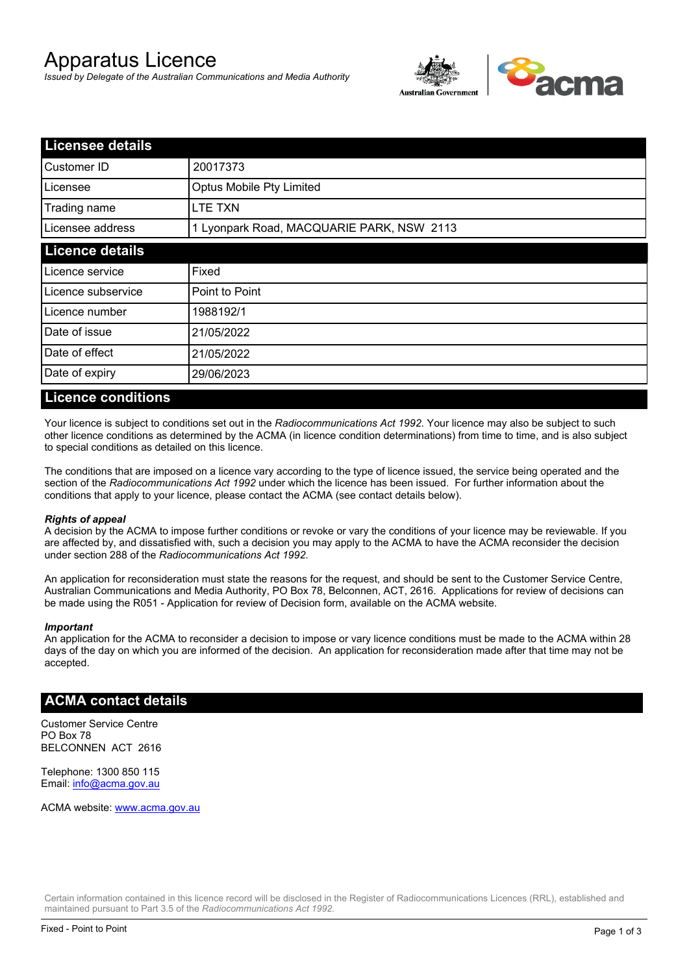# Apparatus Licence

*Issued by Delegate of the Australian Communications and Media Authority*



| <b>Licensee details</b> |                                           |  |
|-------------------------|-------------------------------------------|--|
| Customer ID             | 20017373                                  |  |
| Licensee                | Optus Mobile Pty Limited                  |  |
| Trading name            | LTE TXN                                   |  |
| Licensee address        | 1 Lyonpark Road, MACQUARIE PARK, NSW 2113 |  |
| <b>Licence details</b>  |                                           |  |
| Licence service         | Fixed                                     |  |
| Licence subservice      | Point to Point                            |  |
| Licence number          | 1988192/1                                 |  |
| Date of issue           | 21/05/2022                                |  |
| Date of effect          | 21/05/2022                                |  |
| Date of expiry          | 29/06/2023                                |  |

#### **Licence conditions**

Your licence is subject to conditions set out in the *Radiocommunications Act 1992*. Your licence may also be subject to such other licence conditions as determined by the ACMA (in licence condition determinations) from time to time, and is also subject to special conditions as detailed on this licence.

The conditions that are imposed on a licence vary according to the type of licence issued, the service being operated and the section of the *Radiocommunications Act 1992* under which the licence has been issued. For further information about the conditions that apply to your licence, please contact the ACMA (see contact details below).

#### *Rights of appeal*

A decision by the ACMA to impose further conditions or revoke or vary the conditions of your licence may be reviewable. If you are affected by, and dissatisfied with, such a decision you may apply to the ACMA to have the ACMA reconsider the decision under section 288 of the *Radiocommunications Act 1992*.

An application for reconsideration must state the reasons for the request, and should be sent to the Customer Service Centre, Australian Communications and Media Authority, PO Box 78, Belconnen, ACT, 2616. Applications for review of decisions can be made using the R051 - Application for review of Decision form, available on the ACMA website.

#### *Important*

An application for the ACMA to reconsider a decision to impose or vary licence conditions must be made to the ACMA within 28 days of the day on which you are informed of the decision. An application for reconsideration made after that time may not be accepted.

### **ACMA contact details**

Customer Service Centre PO Box 78 BELCONNEN ACT 2616

Telephone: 1300 850 115 Email: info@acma.gov.au

ACMA website: www.acma.gov.au

Certain information contained in this licence record will be disclosed in the Register of Radiocommunications Licences (RRL), established and maintained pursuant to Part 3.5 of the *Radiocommunications Act 1992.*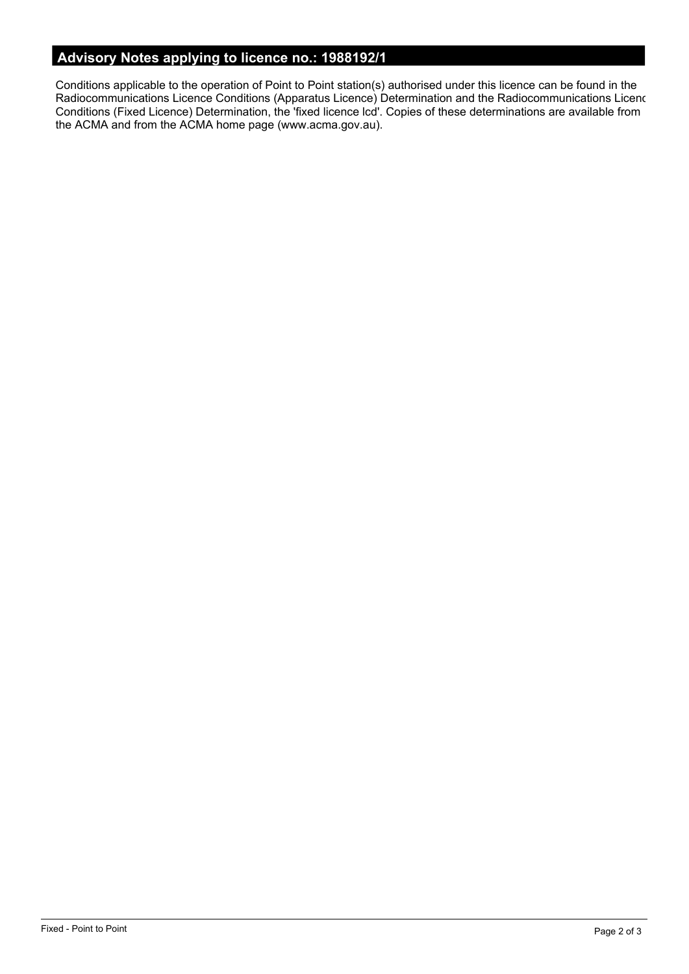# **Advisory Notes applying to licence no.: 1988192/1**

Conditions applicable to the operation of Point to Point station(s) authorised under this licence can be found in the Radiocommunications Licence Conditions (Apparatus Licence) Determination and the Radiocommunications Licence Conditions (Fixed Licence) Determination, the 'fixed licence lcd'. Copies of these determinations are available from the ACMA and from the ACMA home page (www.acma.gov.au).